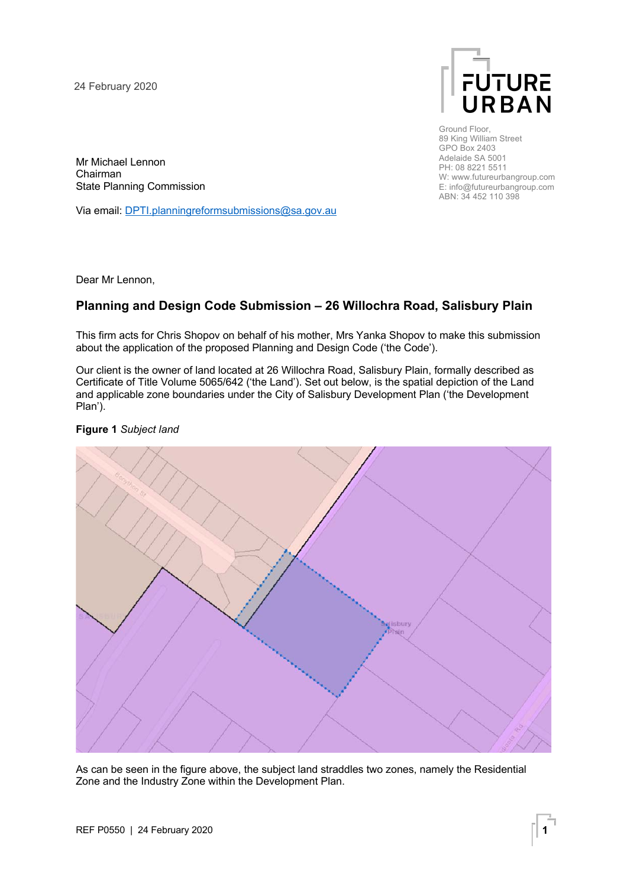24 February 2020



Ground Floor, 89 King William Street GPO Box 2403 Adelaide SA 5001 PH: 08 8221 5511 W: www.futureurbangroup.com E: info@futureurbangroup.com ABN: 34 452 110 398

Mr Michael Lennon Chairman State Planning Commission

Via email: DPTI.planningreformsubmissions@sa.gov.au

Dear Mr Lennon,

## **Planning and Design Code Submission – 26 Willochra Road, Salisbury Plain**

This firm acts for Chris Shopov on behalf of his mother, Mrs Yanka Shopov to make this submission about the application of the proposed Planning and Design Code ('the Code').

Our client is the owner of land located at 26 Willochra Road, Salisbury Plain, formally described as Certificate of Title Volume 5065/642 ('the Land'). Set out below, is the spatial depiction of the Land and applicable zone boundaries under the City of Salisbury Development Plan ('the Development Plan').

## **Figure 1** *Subject land*



As can be seen in the figure above, the subject land straddles two zones, namely the Residential Zone and the Industry Zone within the Development Plan.